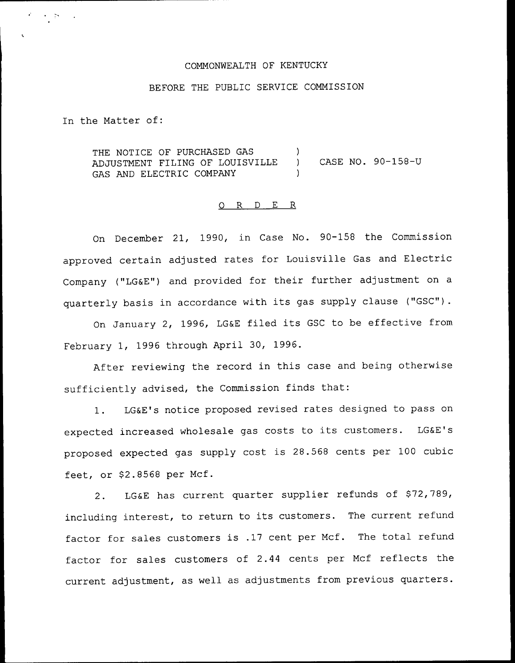## COMMONWEALTH OF KENTUCKY

## BEFORE THE PUBLIC SERVICE COMMISSION

In the Matter of:

र के ।

THE NOTICE OF PURCHASED GAS ADJUSTMENT FILING OF LOUISVILLE GAS AND ELECTRIC COMPANY ) ) CASE NO. 90-158-U )

## ORDER

On December 21, 1990, in Case No. 90-158 the Commission approved certain adjusted rates for Louisville Gas and Electric Company ("LG&E") and provided for their further adjustment on a quarterly basis in accordance with its gas supply clause ("GSC").

On January 2, 1996, LG&E filed its GSC to be effective from February 1, 1996 through April 30, 1996.

After reviewing the record in this case and being otherwise sufficiently advised, the Commission finds that:

1. LG&E's notice proposed revised rates designed to pass on expected increased wholesale gas costs to its customers. LG&E's proposed expected gas supply cost is 28.568 cents per 100 cubic feet, or  $$2.8568$  per Mcf.

2. LG&E has current quarter supplier refunds of \$72,789, including interest, to return to its customers. The current refund factor for sales customers is .17 cent per Mcf. The total refund factor for sales customers of 2.44 cents per Mcf reflects the current adjustment, as well as adjustments from previous quarters.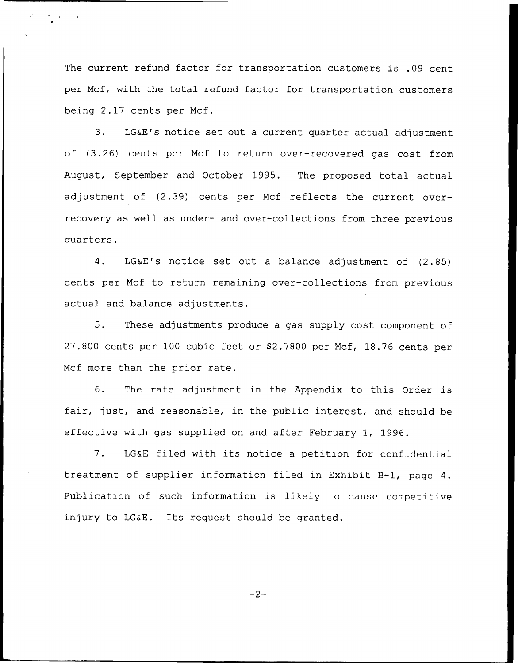The current refund factor for transportation customers is .09 cent per Mcf, with the total refund factor for transportation customers being 2.17 cents per Mcf.

3. LG&E's notice set out a current quarter actual adjustment of (3.26) cents per Mcf to return over-recovered gas cost from August, September and October 1995. The proposed total actual adjustment of (2.39) cents per Mcf reflects the current overrecovery as well as under- and over-collections from three previous quarters.

4. LG&E's notice set out <sup>a</sup> balance adjustment of (2.85) cents per Mcf to return remaining over-collections from previous actual and balance adjustments.

5. These adjustments produce a gas supply cost component of 27.800 cents per 100 cubic feet or \$2.7800 per Mcf, 18.76 cents per Mcf more than the prior rate.

6. The rate adjustment in the Appendix to this Order is fair, just, and reasonable, in the public interest, and should be effective with gas supplied on and after February 1, 1996.

7. LG&E filed with its notice <sup>a</sup> petition for confidential treatment of supplier information filed in Exhibit B-1, page 4. Publication of such information is likely to cause competitive injury to LG&E. Its request should be granted.

 $-2-$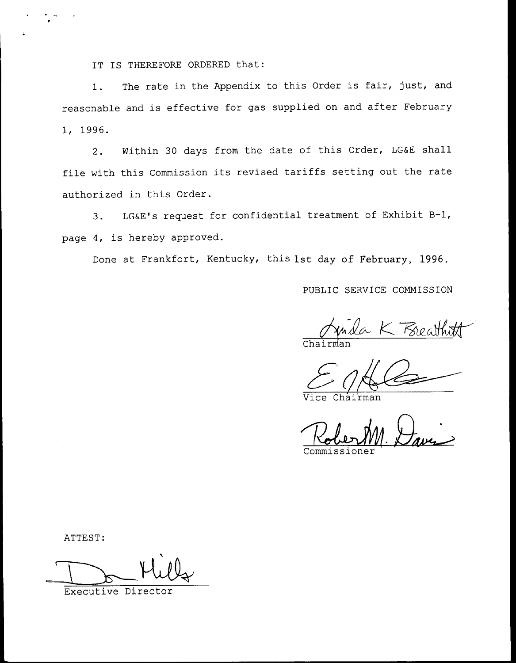IT IS THEREFORE ORDERED that:

1. The rate in the Appendix to this Order is fair, just, and reasonable and is effective for gas supplied on and after February 1, 1996.

2. Within 30 days from the date of this Order, LG&E shall file with this Commission its revised tariffs setting out the rate authorized in this Order.

3. LG&E's request for confidential treatment of Exhibit B-l, page 4, is hereby approved.

Done at Frankfort, Kentucky, this 1st day of February, 1996.

PUBLIC SERVICE COMMISSION

Juida K Breathit

Chairman

Commissione

ATTEST:

Executive Director